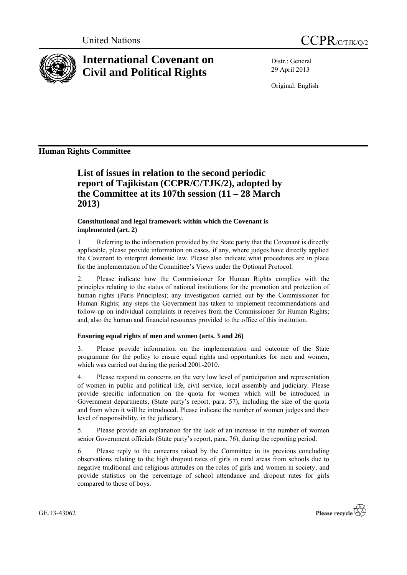



# **International Covenant on Civil and Political Rights**

Distr.: General 29 April 2013

Original: English

# **Human Rights Committee**

**List of issues in relation to the second periodic report of Tajikistan (CCPR/C/TJK/2), adopted by the Committee at its 107th session (11 – 28 March 2013)**

### **Constitutional and legal framework within which the Covenant is implemented (art. 2)**

1. Referring to the information provided by the State party that the Covenant is directly applicable, please provide information on cases, if any, where judges have directly applied the Covenant to interpret domestic law. Please also indicate what procedures are in place for the implementation of the Committee's Views under the Optional Protocol.

2. Please indicate how the Commissioner for Human Rights complies with the principles relating to the status of national institutions for the promotion and protection of human rights (Paris Principles); any investigation carried out by the Commissioner for Human Rights; any steps the Government has taken to implement recommendations and follow-up on individual complaints it receives from the Commissioner for Human Rights; and, also the human and financial resources provided to the office of this institution.

## **Ensuring equal rights of men and women (arts. 3 and 26)**

3. Please provide information on the implementation and outcome of the State programme for the policy to ensure equal rights and opportunities for men and women, which was carried out during the period 2001-2010.

4. Please respond to concerns on the very low level of participation and representation of women in public and political life, civil service, local assembly and judiciary. Please provide specific information on the quota for women which will be introduced in Government departments, (State party's report, para. 57), including the size of the quota and from when it will be introduced. Please indicate the number of women judges and their level of responsibility, in the judiciary.

5. Please provide an explanation for the lack of an increase in the number of women senior Government officials (State party's report, para. 76), during the reporting period.

6. Please reply to the concerns raised by the Committee in its previous concluding observations relating to the high dropout rates of girls in rural areas from schools due to negative traditional and religious attitudes on the roles of girls and women in society, and provide statistics on the percentage of school attendance and dropout rates for girls compared to those of boys.

GE.13-43062

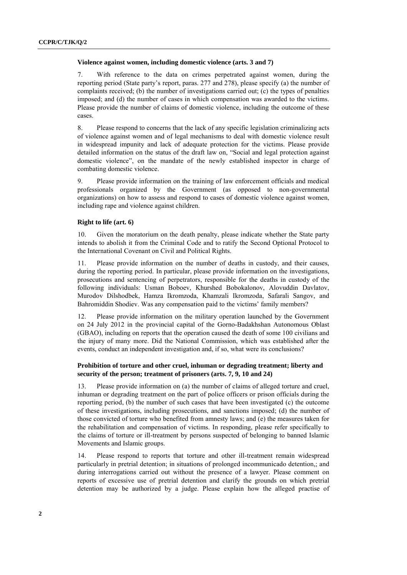#### **Violence against women, including domestic violence (arts. 3 and 7)**

7. With reference to the data on crimes perpetrated against women, during the reporting period (State party's report, paras. 277 and 278), please specify (a) the number of complaints received; (b) the number of investigations carried out; (c) the types of penalties imposed; and (d) the number of cases in which compensation was awarded to the victims. Please provide the number of claims of domestic violence, including the outcome of these cases.

8. Please respond to concerns that the lack of any specific legislation criminalizing acts of violence against women and of legal mechanisms to deal with domestic violence result in widespread impunity and lack of adequate protection for the victims. Please provide detailed information on the status of the draft law on, "Social and legal protection against domestic violence", on the mandate of the newly established inspector in charge of combating domestic violence.

9. Please provide information on the training of law enforcement officials and medical professionals organized by the Government (as opposed to non-governmental organizations) on how to assess and respond to cases of domestic violence against women, including rape and violence against children.

#### **Right to life (art. 6)**

10. Given the moratorium on the death penalty, please indicate whether the State party intends to abolish it from the Criminal Code and to ratify the Second Optional Protocol to the International Covenant on Civil and Political Rights.

11. Please provide information on the number of deaths in custody, and their causes, during the reporting period. In particular, please provide information on the investigations, prosecutions and sentencing of perpetrators, responsible for the deaths in custody of the following individuals: Usman Boboev, Khurshed Bobokalonov, Alovuddin Davlatov, Murodov Dilshodbek, Hamza Ikromzoda, Khamzali Ikromzoda, Safarali Sangov, and Bahromiddin Shodiev. Was any compensation paid to the victims' family members?

Please provide information on the military operation launched by the Government on 24 July 2012 in the provincial capital of the Gorno-Badakhshan Autonomous Oblast (GBAO), including on reports that the operation caused the death of some 100 civilians and the injury of many more. Did the National Commission, which was established after the events, conduct an independent investigation and, if so, what were its conclusions?

#### **Prohibition of torture and other cruel, inhuman or degrading treatment; liberty and security of the person; treatment of prisoners (arts. 7, 9, 10 and 24)**

13. Please provide information on (a) the number of claims of alleged torture and cruel, inhuman or degrading treatment on the part of police officers or prison officials during the reporting period, (b) the number of such cases that have been investigated (c) the outcome of these investigations, including prosecutions, and sanctions imposed; (d) the number of those convicted of torture who benefited from amnesty laws; and (e) the measures taken for the rehabilitation and compensation of victims. In responding, please refer specifically to the claims of torture or ill-treatment by persons suspected of belonging to banned Islamic Movements and Islamic groups.

14. Please respond to reports that torture and other ill-treatment remain widespread particularly in pretrial detention; in situations of prolonged incommunicado detention,; and during interrogations carried out without the presence of a lawyer. Please comment on reports of excessive use of pretrial detention and clarify the grounds on which pretrial detention may be authorized by a judge. Please explain how the alleged practise of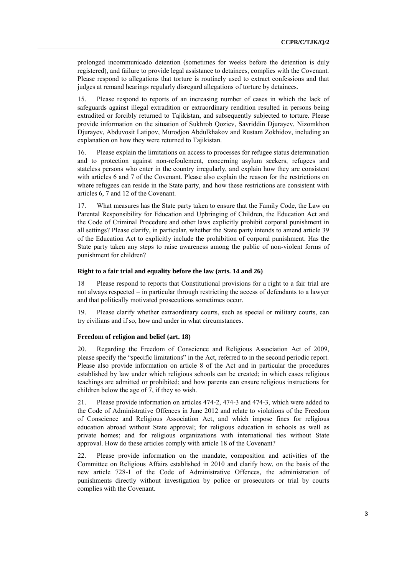prolonged incommunicado detention (sometimes for weeks before the detention is duly registered), and failure to provide legal assistance to detainees, complies with the Covenant. Please respond to allegations that torture is routinely used to extract confessions and that judges at remand hearings regularly disregard allegations of torture by detainees.

15. Please respond to reports of an increasing number of cases in which the lack of safeguards against illegal extradition or extraordinary rendition resulted in persons being extradited or forcibly returned to Tajikistan, and subsequently subjected to torture. Please provide information on the situation of Sukhrob Qoziev, Savriddin Djurayev, Nizomkhon Djurayev, Abduvosit Latipov, Murodjon Abdulkhakov and Rustam Zokhidov, including an explanation on how they were returned to Tajikistan.

16. Please explain the limitations on access to processes for refugee status determination and to protection against non-refoulement, concerning asylum seekers, refugees and stateless persons who enter in the country irregularly, and explain how they are consistent with articles 6 and 7 of the Covenant. Please also explain the reason for the restrictions on where refugees can reside in the State party, and how these restrictions are consistent with articles 6, 7 and 12 of the Covenant.

17. What measures has the State party taken to ensure that the Family Code, the Law on Parental Responsibility for Education and Upbringing of Children, the Education Act and the Code of Criminal Procedure and other laws explicitly prohibit corporal punishment in all settings? Please clarify, in particular, whether the State party intends to amend article 39 of the Education Act to explicitly include the prohibition of corporal punishment. Has the State party taken any steps to raise awareness among the public of non-violent forms of punishment for children?

#### **Right to a fair trial and equality before the law (arts. 14 and 26)**

18 Please respond to reports that Constitutional provisions for a right to a fair trial are not always respected – in particular through restricting the access of defendants to a lawyer and that politically motivated prosecutions sometimes occur.

19. Please clarify whether extraordinary courts, such as special or military courts, can try civilians and if so, how and under in what circumstances.

#### **Freedom of religion and belief (art. 18)**

20. Regarding the Freedom of Conscience and Religious Association Act of 2009, please specify the "specific limitations" in the Act, referred to in the second periodic report. Please also provide information on article 8 of the Act and in particular the procedures established by law under which religious schools can be created; in which cases religious teachings are admitted or prohibited; and how parents can ensure religious instructions for children below the age of 7, if they so wish.

21. Please provide information on articles 474-2, 474-3 and 474-3, which were added to the Code of Administrative Offences in June 2012 and relate to violations of the Freedom of Conscience and Religious Association Act, and which impose fines for religious education abroad without State approval; for religious education in schools as well as private homes; and for religious organizations with international ties without State approval. How do these articles comply with article 18 of the Covenant?

22. Please provide information on the mandate, composition and activities of the Committee on Religious Affairs established in 2010 and clarify how, on the basis of the new article 728-1 of the Code of Administrative Offences, the administration of punishments directly without investigation by police or prosecutors or trial by courts complies with the Covenant.